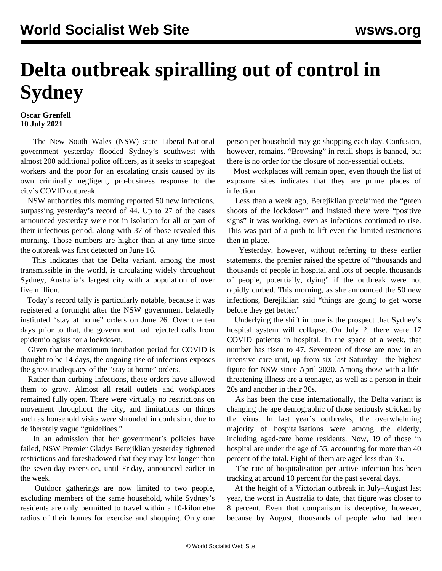## **Delta outbreak spiralling out of control in Sydney**

## **Oscar Grenfell 10 July 2021**

 The New South Wales (NSW) state Liberal-National government yesterday flooded Sydney's southwest with almost 200 additional police officers, as it seeks to scapegoat workers and the poor for an escalating crisis caused by its own criminally negligent, pro-business response to the city's COVID outbreak.

 NSW authorities this morning reported 50 new infections, surpassing yesterday's record of 44. Up to 27 of the cases announced yesterday were not in isolation for all or part of their infectious period, along with 37 of those revealed this morning. Those numbers are higher than at any time since the outbreak was first detected on June 16.

 This indicates that the Delta variant, among the most transmissible in the world, is circulating widely throughout Sydney, Australia's largest city with a population of over five million.

 Today's record tally is particularly notable, because it was registered a fortnight after the NSW government belatedly instituted "stay at home" orders on June 26. Over the ten days prior to that, the government had rejected calls from epidemiologists for a lockdown.

 Given that the maximum incubation period for COVID is thought to be 14 days, the ongoing rise of infections exposes the gross inadequacy of the "stay at home" orders.

 Rather than curbing infections, these orders have allowed them to grow. Almost all retail outlets and workplaces remained fully open. There were virtually no restrictions on movement throughout the city, and limitations on things such as household visits were shrouded in confusion, due to deliberately vague "guidelines."

 In an admission that her government's policies have failed, NSW Premier Gladys Berejiklian yesterday tightened restrictions and foreshadowed that they may last longer than the seven-day extension, until Friday, announced earlier in the week.

 Outdoor gatherings are now limited to two people, excluding members of the same household, while Sydney's residents are only permitted to travel within a 10-kilometre radius of their homes for exercise and shopping. Only one person per household may go shopping each day. Confusion, however, remains. "Browsing" in retail shops is banned, but there is no order for the closure of non-essential outlets.

 Most workplaces will remain open, even though the list of exposure sites indicates that they are prime places of infection.

 Less than a week ago, Berejiklian proclaimed the "green shoots of the lockdown" and insisted there were "positive signs" it was working, even as infections continued to rise. This was part of a push to lift even the limited restrictions then in place.

 Yesterday, however, without referring to these earlier statements, the premier raised the spectre of "thousands and thousands of people in hospital and lots of people, thousands of people, potentially, dying" if the outbreak were not rapidly curbed. This morning, as she announced the 50 new infections, Berejiklian said "things are going to get worse before they get better."

 Underlying the shift in tone is the prospect that Sydney's hospital system will collapse. On July 2, there were 17 COVID patients in hospital. In the space of a week, that number has risen to 47. Seventeen of those are now in an intensive care unit, up from six last Saturday—the highest figure for NSW since April 2020. Among those with a lifethreatening illness are a teenager, as well as a person in their 20s and another in their 30s.

 As has been the case internationally, the Delta variant is changing the age demographic of those seriously stricken by the virus. In last year's outbreaks, the overwhelming majority of hospitalisations were among the elderly, including aged-care home residents. Now, 19 of those in hospital are under the age of 55, accounting for more than 40 percent of the total. Eight of them are aged less than 35.

 The rate of hospitalisation per active infection has been tracking at around 10 percent for the past several days.

 At the height of a Victorian outbreak in July–August last year, the worst in Australia to date, that figure was closer to 8 percent. Even that comparison is deceptive, however, because by August, thousands of people who had been